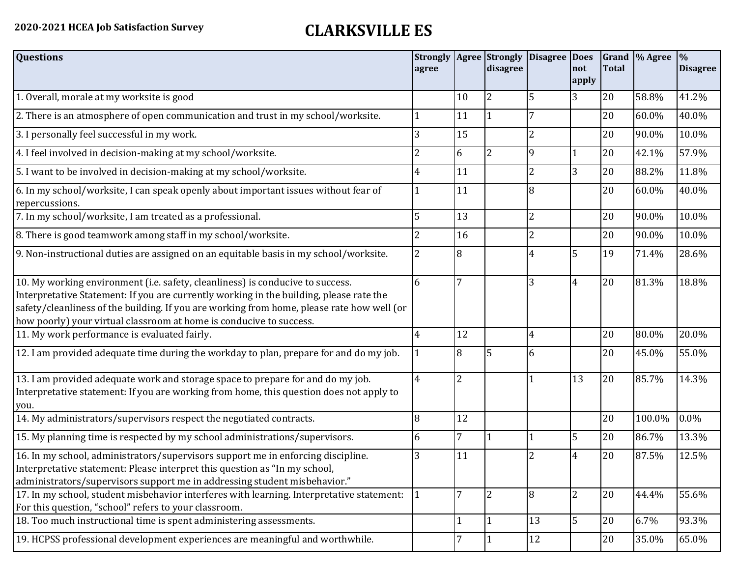## **2020-2021 HCEA Job Satisfaction Survey CLARKSVILLE ES**

| <b>Questions</b>                                                                                                                                                                                                                                                                                                                               | agree |                | disagree       | Strongly   Agree   Strongly   Disagree   Does | not<br>apply   | <b>Total</b> | Grand  % Agree | $\frac{9}{6}$<br><b>Disagree</b> |
|------------------------------------------------------------------------------------------------------------------------------------------------------------------------------------------------------------------------------------------------------------------------------------------------------------------------------------------------|-------|----------------|----------------|-----------------------------------------------|----------------|--------------|----------------|----------------------------------|
| 1. Overall, morale at my worksite is good                                                                                                                                                                                                                                                                                                      |       | 10             | $\overline{2}$ | 5                                             | 3              | 20           | 58.8%          | 41.2%                            |
| 2. There is an atmosphere of open communication and trust in my school/worksite.                                                                                                                                                                                                                                                               |       | 11             |                | 7                                             |                | 20           | 60.0%          | 40.0%                            |
| 3. I personally feel successful in my work.                                                                                                                                                                                                                                                                                                    | 3.    | 15             |                | 2                                             |                | 20           | 90.0%          | 10.0%                            |
| 4. I feel involved in decision-making at my school/worksite.                                                                                                                                                                                                                                                                                   | 2     | 6              | $\overline{2}$ | 9                                             |                | 20           | 42.1%          | 57.9%                            |
| 5. I want to be involved in decision-making at my school/worksite.                                                                                                                                                                                                                                                                             | 4     | 11             |                | 2                                             | 3              | 20           | 88.2%          | 11.8%                            |
| 6. In my school/worksite, I can speak openly about important issues without fear of<br>repercussions.                                                                                                                                                                                                                                          |       | 11             |                | 8                                             |                | 20           | 60.0%          | 40.0%                            |
| 7. In my school/worksite, I am treated as a professional.                                                                                                                                                                                                                                                                                      | 5     | 13             |                | $\overline{2}$                                |                | 20           | 90.0%          | 10.0%                            |
| 8. There is good teamwork among staff in my school/worksite.                                                                                                                                                                                                                                                                                   |       | 16             |                | $\overline{2}$                                |                | 20           | 90.0%          | 10.0%                            |
| 9. Non-instructional duties are assigned on an equitable basis in my school/worksite.                                                                                                                                                                                                                                                          | 2     | 8              |                | 4                                             | 5              | 19           | 71.4%          | 28.6%                            |
| 10. My working environment (i.e. safety, cleanliness) is conducive to success.<br>Interpretative Statement: If you are currently working in the building, please rate the<br>safety/cleanliness of the building. If you are working from home, please rate how well (or<br>how poorly) your virtual classroom at home is conducive to success. | 6     | 7              |                | 3                                             | 4              | 20           | 81.3%          | 18.8%                            |
| 11. My work performance is evaluated fairly.                                                                                                                                                                                                                                                                                                   | 4     | 12             |                | 4                                             |                | 20           | 80.0%          | 20.0%                            |
| 12. I am provided adequate time during the workday to plan, prepare for and do my job.                                                                                                                                                                                                                                                         |       | $\overline{8}$ | 5              | 6                                             |                | 20           | 45.0%          | 55.0%                            |
| 13. I am provided adequate work and storage space to prepare for and do my job.<br>Interpretative statement: If you are working from home, this question does not apply to<br>you.                                                                                                                                                             | 4     | $\overline{2}$ |                |                                               | 13             | 20           | 85.7%          | 14.3%                            |
| 14. My administrators/supervisors respect the negotiated contracts.                                                                                                                                                                                                                                                                            | 8     | 12             |                |                                               |                | 20           | 100.0%         | 0.0%                             |
| 15. My planning time is respected by my school administrations/supervisors.                                                                                                                                                                                                                                                                    | 6     | $\overline{7}$ |                |                                               | 5              | 20           | 86.7%          | 13.3%                            |
| 16. In my school, administrators/supervisors support me in enforcing discipline.<br>Interpretative statement: Please interpret this question as "In my school,<br>administrators/supervisors support me in addressing student misbehavior."                                                                                                    | 3     | 11             |                | 2                                             | 4              | 20           | 87.5%          | 12.5%                            |
| 17. In my school, student misbehavior interferes with learning. Interpretative statement:<br>For this question, "school" refers to your classroom.                                                                                                                                                                                             |       | 7              | $\overline{2}$ | 8                                             | $\overline{2}$ | 20           | 44.4%          | 55.6%                            |
| 18. Too much instructional time is spent administering assessments.                                                                                                                                                                                                                                                                            |       | $\mathbf{1}$   | $\mathbf{1}$   | 13                                            | 5              | 20           | 6.7%           | 93.3%                            |
| 19. HCPSS professional development experiences are meaningful and worthwhile.                                                                                                                                                                                                                                                                  |       | 7              | 1              | 12                                            |                | 20           | 35.0%          | 65.0%                            |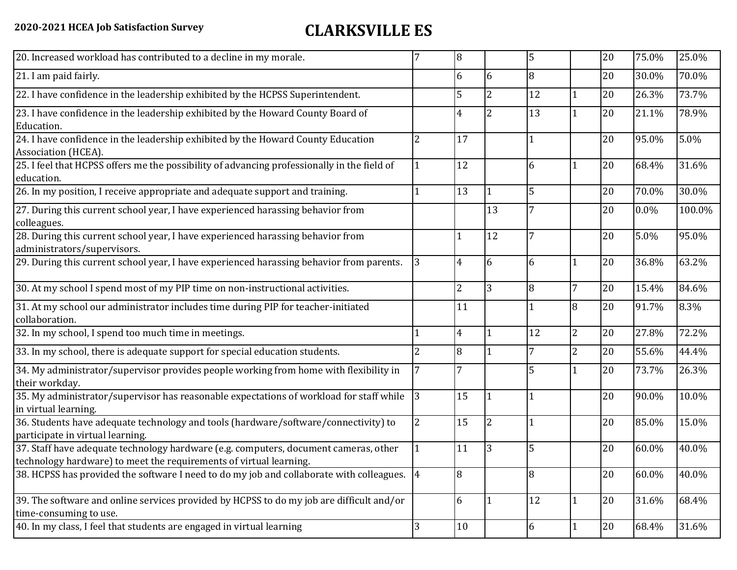## **2020-2021 HCEA Job Satisfaction Survey CLARKSVILLE ES**

| 20. Increased workload has contributed to a decline in my morale.                                                                                          |   | 8              |                | 5  |                | 20 | 75.0%   | 25.0%  |
|------------------------------------------------------------------------------------------------------------------------------------------------------------|---|----------------|----------------|----|----------------|----|---------|--------|
| 21. I am paid fairly.                                                                                                                                      |   | 6              | 6              | 8  |                | 20 | 30.0%   | 70.0%  |
| 22. I have confidence in the leadership exhibited by the HCPSS Superintendent.                                                                             |   | 5              | $\overline{2}$ | 12 |                | 20 | 26.3%   | 73.7%  |
| 23. I have confidence in the leadership exhibited by the Howard County Board of<br>Education.                                                              |   | 4              | $\overline{2}$ | 13 |                | 20 | 21.1%   | 78.9%  |
| 24. I have confidence in the leadership exhibited by the Howard County Education<br>Association (HCEA).                                                    | 2 | 17             |                |    |                | 20 | 95.0%   | 5.0%   |
| 25. I feel that HCPSS offers me the possibility of advancing professionally in the field of<br>education.                                                  |   | 12             |                | 6  | 1              | 20 | 68.4%   | 31.6%  |
| 26. In my position, I receive appropriate and adequate support and training.                                                                               |   | 13             | 1              | 5  |                | 20 | 70.0%   | 30.0%  |
| 27. During this current school year, I have experienced harassing behavior from<br>colleagues.                                                             |   |                | 13             | 7  |                | 20 | $0.0\%$ | 100.0% |
| 28. During this current school year, I have experienced harassing behavior from<br>administrators/supervisors.                                             |   |                | 12             |    |                | 20 | 5.0%    | 95.0%  |
| 29. During this current school year, I have experienced harassing behavior from parents.                                                                   | 3 | 4              | 6              | 6  |                | 20 | 36.8%   | 63.2%  |
| 30. At my school I spend most of my PIP time on non-instructional activities.                                                                              |   | $\overline{2}$ | 3              | 8  | 7              | 20 | 15.4%   | 84.6%  |
| 31. At my school our administrator includes time during PIP for teacher-initiated<br>collaboration.                                                        |   | 11             |                |    | 8              | 20 | 91.7%   | 8.3%   |
| 32. In my school, I spend too much time in meetings.                                                                                                       |   | $\overline{4}$ | 1              | 12 | $\overline{2}$ | 20 | 27.8%   | 72.2%  |
| 33. In my school, there is adequate support for special education students.                                                                                |   | 8              |                | 7  | $\overline{2}$ | 20 | 55.6%   | 44.4%  |
| 34. My administrator/supervisor provides people working from home with flexibility in<br>their workday.                                                    |   | 7              |                | 5  |                | 20 | 73.7%   | 26.3%  |
| 35. My administrator/supervisor has reasonable expectations of workload for staff while<br>in virtual learning.                                            | 3 | 15             |                |    |                | 20 | 90.0%   | 10.0%  |
| 36. Students have adequate technology and tools (hardware/software/connectivity) to<br>participate in virtual learning.                                    | 2 | 15             | $\overline{2}$ |    |                | 20 | 85.0%   | 15.0%  |
| 37. Staff have adequate technology hardware (e.g. computers, document cameras, other<br>technology hardware) to meet the requirements of virtual learning. |   | 11             | 3              | 5  |                | 20 | 60.0%   | 40.0%  |
| 38. HCPSS has provided the software I need to do my job and collaborate with colleagues. 4                                                                 |   | 8              |                | 8  |                | 20 | 60.0%   | 40.0%  |
| 39. The software and online services provided by HCPSS to do my job are difficult and/or<br>time-consuming to use.                                         |   | 6              | 1              | 12 | $\mathbf{1}$   | 20 | 31.6%   | 68.4%  |
| 40. In my class, I feel that students are engaged in virtual learning                                                                                      | 3 | 10             |                | 6  |                | 20 | 68.4%   | 31.6%  |